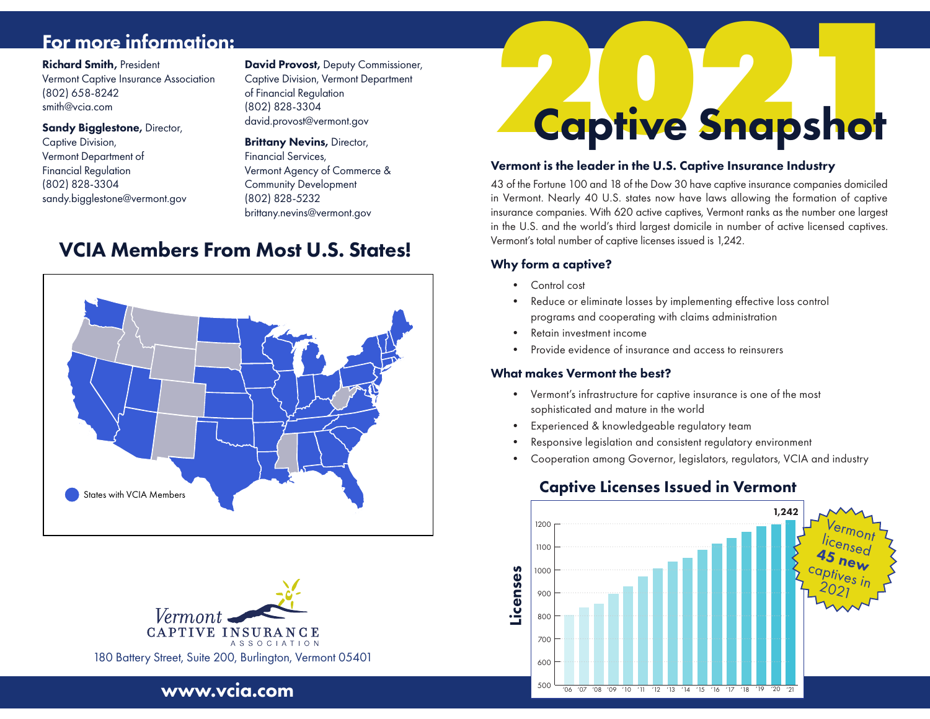# For more information:

# Richard Smith, President

Vermont Captive Insurance Association (802) 658-8242 smith@vcia.com

#### Sandy Biaalestone, Director,

Captive Division, Vermont Department of Financial Regulation (802) 828-3304 sandy.bigglestone@vermont.gov David Provost, Deputy Commissioner, Captive Division, Vermont Department of Financial Regulation (802) 828-3304 david.provost@vermont.gov

#### **Brittany Nevins, Director,**

Financial Services, Vermont Agency of Commerce & Community Development (802) 828-5232 brittany.nevins@vermont.gov

# **VCIA Members From Most U.S. States!**





www.vcia.com

# **2020 Shapshot** Captive Snapshot

#### Vermont is the leader in the U.S. Captive Insurance Industry

43 of the Fortune 100 and 18 of the Dow 30 have captive insurance companies domiciled in Vermont. Nearly 40 U.S. states now have laws allowing the formation of captive insurance companies. With 620 active captives, Vermont ranks as the number one largest in the U.S. and the world's third largest domicile in number of active licensed captives. Vermont's total number of captive licenses issued is 1,242.

# Why form a captive?

- Control cost
- Reduce or eliminate losses by implementing effective loss control programs and cooperating with claims administration
- Retain investment income
- Provide evidence of insurance and access to reinsurers

# What makes Vermont the best?

- Vermont's infrastructure for captive insurance is one of the most sophisticated and mature in the world
- Experienced & knowledgeable regulatory team
- Responsive legislation and consistent regulatory environment
- Cooperation among Governor, legislators, regulators, VCIA and industry

# Captive Licenses Issued in Vermont